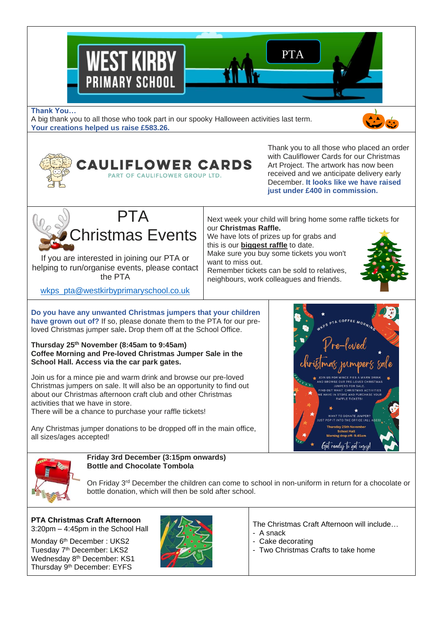

#### **Thank You…**

A big thank you to all those who took part in our spooky Halloween activities last term. **Your creations helped us raise £583.26.**

> EAULIFLOWER CARDS: PART OF CAULIFLOWER GROUP LTD.





If you are interested in joining our PTA or helping to run/organise events, please contact the PTA

with Cauliflower Cards for our Christmas Art Project. The artwork has now been received and we anticipate delivery early December. **It looks like we have raised just under £400 in commission.**

Thank you to all those who placed an order

Next week your child will bring home some raffle tickets for our **Christmas Raffle.**

We have lots of prizes up for grabs and this is our **biggest raffle** to date. Make sure you buy some tickets you won't want to miss out.

Remember tickets can be sold to relatives, neighbours, work colleagues and friends.

[wkps\\_pta@westkirbyprimaryschool.co.uk](mailto:wkps_pta@westkirbyprimaryschool.co.uk)

**Do you have any unwanted Christmas jumpers that your children have grown out of?** If so, please donate them to the PTA for our preloved Christmas jumper sale**.** Drop them off at the School Office.

#### **Thursday 25th November (8:45am to 9:45am) Coffee Morning and Pre-loved Christmas Jumper Sale in the School Hall. Access via the car park gates.**

Join us for a mince pie and warm drink and browse our pre-loved Christmas jumpers on sale. It will also be an opportunity to find out about our Christmas afternoon craft club and other Christmas activities that we have in store.

There will be a chance to purchase your raffle tickets!

Any Christmas jumper donations to be dropped off in the main office, all sizes/ages accepted!





#### **Friday 3rd December (3:15pm onwards) Bottle and Chocolate Tombola**

On Friday 3<sup>rd</sup> December the children can come to school in non-uniform in return for a chocolate or bottle donation, which will then be sold after school.

**PTA Christmas Craft Afternoon** 3:20pm – 4:45pm in the School Hall

Monday 6<sup>th</sup> December : UKS2 Tuesday 7<sup>th</sup> December: LKS2 Wednesday 8<sup>th</sup> December: KS1 Thursday 9th December: EYFS



The Christmas Craft Afternoon will include…

- A snack
- Cake decorating
- Two Christmas Crafts to take home